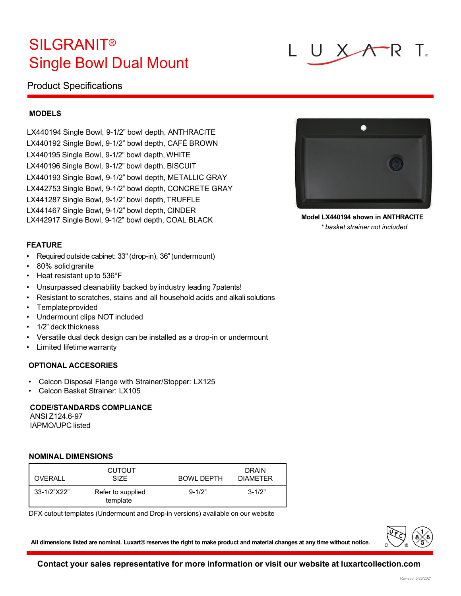## **SILGRANIT®** Single Bowl Dual Mount

### Product Specifications

**MODELS**

LX440194 Single Bowl, 9-1/2" bowl depth, ANTHRACITE LX440192 Single Bowl, 9-1/2" bowl depth, CAFÉ BROWN LX440195 Single Bowl, 9-1/2" bowl depth, WHITE LX440196 Single Bowl, 9-1/2" bowl depth, BISCUIT LX440193 Single Bowl, 9-1/2" bowl depth, METALLIC GRAY LX442753 Single Bowl, 9-1/2" bowl depth, CONCRETE GRAY LX441287 Single Bowl, 9-1/2" bowl depth, TRUFFLE LX441467 Single Bowl, 9-1/2" bowl depth, CINDER LX442917 Single Bowl, 9-1/2" bowl depth, COAL BLACK **Model LX440194 shown in ANTHRACITE**

#### **FEATURE**

- Required outside cabinet: 33"(drop-in), 36"(undermount)
- 80% solid granite
- Heat resistant up to 536°F
- Unsurpassed cleanability backed by industry leading 7patents!
- Resistant to scratches, stains and all household acids and alkali solutions
- Template provided
- Undermount clips NOT included
- 1/2" deck thickness
- Versatile dual deck design can be installed as a drop-in or undermount
- Limited lifetimewarranty

#### **OPTIONAL ACCESORIES**

- Celcon Disposal Flange with Strainer/Stopper: LX125
- Celcon Basket Strainer: LX105

#### **CODE/STANDARDS COMPLIANCE**

ANSI Z124.6-97 IAPMO/UPC listed

#### **NOMINAL DIMENSIONS**

| OVERALL     | <b>CUTOUT</b><br><b>SIZE</b>  | BOWL DEPTH | <b>DRAIN</b><br><b>DIAMETER</b> |
|-------------|-------------------------------|------------|---------------------------------|
| 33-1/2"X22" | Refer to supplied<br>template | $9 - 1/2"$ | $3 - 1/2"$                      |

DFX cutout templates (Undermount and Drop-in versions) available on our website

All dimensions listed are nominal. Luxart® reserves the right to make product and material changes at any time without notice.



*\* basket strainer not included*



**Contact your sales representative for more information or visit our website at luxartcollection.com**